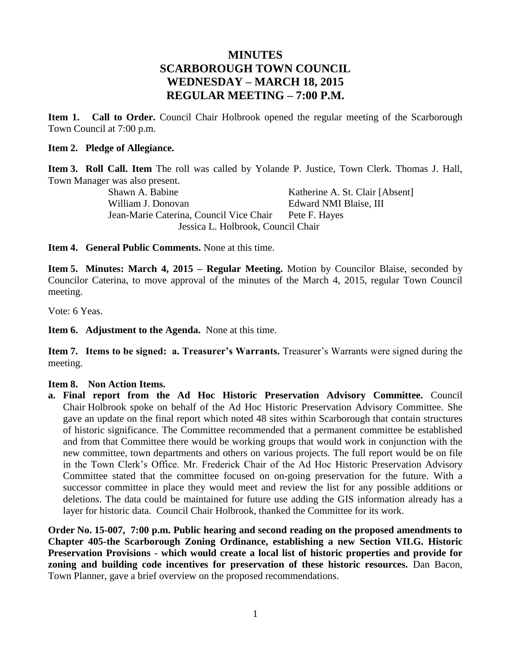## **MINUTES SCARBOROUGH TOWN COUNCIL WEDNESDAY – MARCH 18, 2015 REGULAR MEETING – 7:00 P.M.**

**Item 1. Call to Order.** Council Chair Holbrook opened the regular meeting of the Scarborough Town Council at 7:00 p.m.

#### **Item 2. Pledge of Allegiance.**

**Item 3. Roll Call. Item** The roll was called by Yolande P. Justice, Town Clerk. Thomas J. Hall, Town Manager was also present.

Shawn A. Babine Katherine A. St. Clair [Absent] William J. Donovan Edward NMI Blaise, III Jean-Marie Caterina, Council Vice Chair Pete F. Hayes Jessica L. Holbrook, Council Chair

**Item 4. General Public Comments.** None at this time.

**Item 5. Minutes: March 4, 2015 – Regular Meeting.** Motion by Councilor Blaise, seconded by Councilor Caterina, to move approval of the minutes of the March 4, 2015, regular Town Council meeting.

Vote: 6 Yeas.

**Item 6. Adjustment to the Agenda.** None at this time.

**Item 7. Items to be signed: a. Treasurer's Warrants.** Treasurer's Warrants were signed during the meeting.

#### **Item 8. Non Action Items.**

**a. Final report from the Ad Hoc Historic Preservation Advisory Committee.** Council Chair Holbrook spoke on behalf of the Ad Hoc Historic Preservation Advisory Committee. She gave an update on the final report which noted 48 sites within Scarborough that contain structures of historic significance. The Committee recommended that a permanent committee be established and from that Committee there would be working groups that would work in conjunction with the new committee, town departments and others on various projects. The full report would be on file in the Town Clerk's Office. Mr. Frederick Chair of the Ad Hoc Historic Preservation Advisory Committee stated that the committee focused on on-going preservation for the future. With a successor committee in place they would meet and review the list for any possible additions or deletions. The data could be maintained for future use adding the GIS information already has a layer for historic data. Council Chair Holbrook, thanked the Committee for its work.

**Order No. 15-007, 7:00 p.m. Public hearing and second reading on the proposed amendments to Chapter 405-the Scarborough Zoning Ordinance, establishing a new Section VII.G. Historic Preservation Provisions - which would create a local list of historic properties and provide for zoning and building code incentives for preservation of these historic resources.** Dan Bacon, Town Planner, gave a brief overview on the proposed recommendations.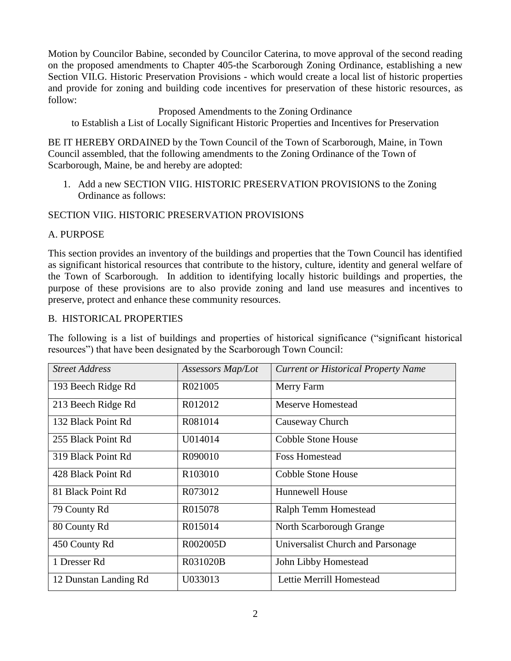Motion by Councilor Babine, seconded by Councilor Caterina, to move approval of the second reading on the proposed amendments to Chapter 405-the Scarborough Zoning Ordinance, establishing a new Section VII.G. Historic Preservation Provisions - which would create a local list of historic properties and provide for zoning and building code incentives for preservation of these historic resources, as follow:

#### Proposed Amendments to the Zoning Ordinance

to Establish a List of Locally Significant Historic Properties and Incentives for Preservation

BE IT HEREBY ORDAINED by the Town Council of the Town of Scarborough, Maine, in Town Council assembled, that the following amendments to the Zoning Ordinance of the Town of Scarborough, Maine, be and hereby are adopted:

1. Add a new SECTION VIIG. HISTORIC PRESERVATION PROVISIONS to the Zoning Ordinance as follows:

### SECTION VIIG. HISTORIC PRESERVATION PROVISIONS

#### A. PURPOSE

This section provides an inventory of the buildings and properties that the Town Council has identified as significant historical resources that contribute to the history, culture, identity and general welfare of the Town of Scarborough. In addition to identifying locally historic buildings and properties, the purpose of these provisions are to also provide zoning and land use measures and incentives to preserve, protect and enhance these community resources.

#### B. HISTORICAL PROPERTIES

The following is a list of buildings and properties of historical significance ("significant historical resources") that have been designated by the Scarborough Town Council:

| <b>Street Address</b> | Assessors Map/Lot | <b>Current or Historical Property Name</b> |  |
|-----------------------|-------------------|--------------------------------------------|--|
| 193 Beech Ridge Rd    | R021005           | Merry Farm                                 |  |
| 213 Beech Ridge Rd    | R012012           | Meserve Homestead                          |  |
| 132 Black Point Rd    | R081014           | Causeway Church                            |  |
| 255 Black Point Rd    | U014014           | Cobble Stone House                         |  |
| 319 Black Point Rd    | R090010           | <b>Foss Homestead</b>                      |  |
| 428 Black Point Rd    | R103010           | <b>Cobble Stone House</b>                  |  |
| 81 Black Point Rd     | R073012           | <b>Hunnewell House</b>                     |  |
| 79 County Rd          | R015078           | Ralph Temm Homestead                       |  |
| 80 County Rd          | R015014           | North Scarborough Grange                   |  |
| 450 County Rd         | R002005D          | Universalist Church and Parsonage          |  |
| 1 Dresser Rd          | R031020B          | John Libby Homestead                       |  |
| 12 Dunstan Landing Rd | U033013           | Lettie Merrill Homestead                   |  |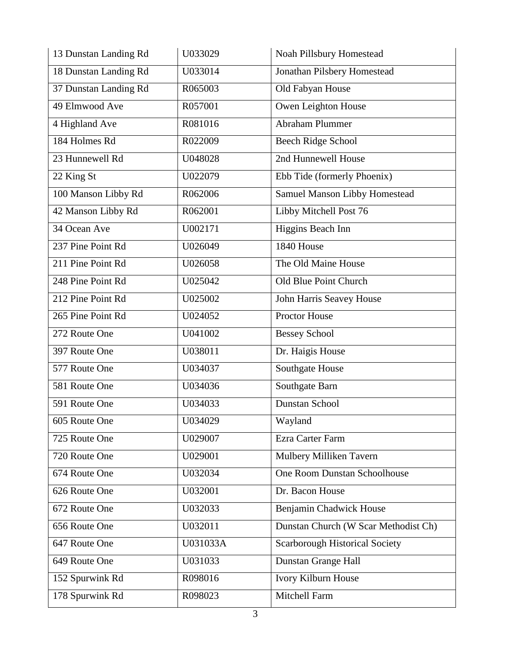| 13 Dunstan Landing Rd | U033029  | Noah Pillsbury Homestead             |  |
|-----------------------|----------|--------------------------------------|--|
| 18 Dunstan Landing Rd | U033014  | Jonathan Pilsbery Homestead          |  |
| 37 Dunstan Landing Rd | R065003  | Old Fabyan House                     |  |
| 49 Elmwood Ave        | R057001  | Owen Leighton House                  |  |
| 4 Highland Ave        | R081016  | Abraham Plummer                      |  |
| 184 Holmes Rd         | R022009  | <b>Beech Ridge School</b>            |  |
| 23 Hunnewell Rd       | U048028  | 2nd Hunnewell House                  |  |
| 22 King St            | U022079  | Ebb Tide (formerly Phoenix)          |  |
| 100 Manson Libby Rd   | R062006  | Samuel Manson Libby Homestead        |  |
| 42 Manson Libby Rd    | R062001  | Libby Mitchell Post 76               |  |
| 34 Ocean Ave          | U002171  | Higgins Beach Inn                    |  |
| 237 Pine Point Rd     | U026049  | 1840 House                           |  |
| 211 Pine Point Rd     | U026058  | The Old Maine House                  |  |
| 248 Pine Point Rd     | U025042  | Old Blue Point Church                |  |
| 212 Pine Point Rd     | U025002  | John Harris Seavey House             |  |
| 265 Pine Point Rd     | U024052  | Proctor House                        |  |
| 272 Route One         | U041002  | <b>Bessey School</b>                 |  |
| 397 Route One         | U038011  | Dr. Haigis House                     |  |
| 577 Route One         | U034037  | Southgate House                      |  |
| 581 Route One         | U034036  | Southgate Barn                       |  |
| 591 Route One         | U034033  | Dunstan School                       |  |
| 605 Route One         | U034029  | Wayland                              |  |
| 725 Route One         | U029007  | Ezra Carter Farm                     |  |
| 720 Route One         | U029001  | Mulbery Milliken Tavern              |  |
| 674 Route One         | U032034  | One Room Dunstan Schoolhouse         |  |
| 626 Route One         | U032001  | Dr. Bacon House                      |  |
| 672 Route One         | U032033  | Benjamin Chadwick House              |  |
| 656 Route One         | U032011  | Dunstan Church (W Scar Methodist Ch) |  |
| 647 Route One         | U031033A | Scarborough Historical Society       |  |
| 649 Route One         | U031033  | Dunstan Grange Hall                  |  |
| 152 Spurwink Rd       | R098016  | Ivory Kilburn House                  |  |
| 178 Spurwink Rd       | R098023  | Mitchell Farm                        |  |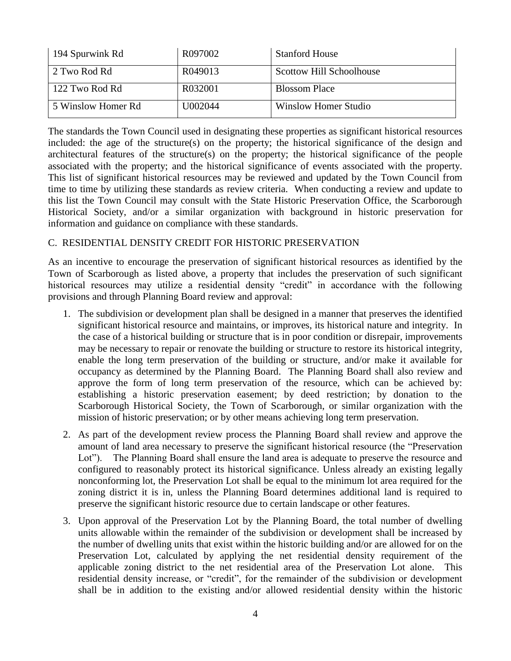| 194 Spurwink Rd    | R097002 | <b>Stanford House</b>       |
|--------------------|---------|-----------------------------|
| 2 Two Rod Rd       | R049013 | Scottow Hill Schoolhouse    |
| 122 Two Rod Rd     | R032001 | <b>Blossom Place</b>        |
| 5 Winslow Homer Rd | U002044 | <b>Winslow Homer Studio</b> |

The standards the Town Council used in designating these properties as significant historical resources included: the age of the structure(s) on the property; the historical significance of the design and architectural features of the structure(s) on the property; the historical significance of the people associated with the property; and the historical significance of events associated with the property. This list of significant historical resources may be reviewed and updated by the Town Council from time to time by utilizing these standards as review criteria. When conducting a review and update to this list the Town Council may consult with the State Historic Preservation Office, the Scarborough Historical Society, and/or a similar organization with background in historic preservation for information and guidance on compliance with these standards.

### C. RESIDENTIAL DENSITY CREDIT FOR HISTORIC PRESERVATION

As an incentive to encourage the preservation of significant historical resources as identified by the Town of Scarborough as listed above, a property that includes the preservation of such significant historical resources may utilize a residential density "credit" in accordance with the following provisions and through Planning Board review and approval:

- 1. The subdivision or development plan shall be designed in a manner that preserves the identified significant historical resource and maintains, or improves, its historical nature and integrity. In the case of a historical building or structure that is in poor condition or disrepair, improvements may be necessary to repair or renovate the building or structure to restore its historical integrity, enable the long term preservation of the building or structure, and/or make it available for occupancy as determined by the Planning Board. The Planning Board shall also review and approve the form of long term preservation of the resource, which can be achieved by: establishing a historic preservation easement; by deed restriction; by donation to the Scarborough Historical Society, the Town of Scarborough, or similar organization with the mission of historic preservation; or by other means achieving long term preservation.
- 2. As part of the development review process the Planning Board shall review and approve the amount of land area necessary to preserve the significant historical resource (the "Preservation Lot"). The Planning Board shall ensure the land area is adequate to preserve the resource and configured to reasonably protect its historical significance. Unless already an existing legally nonconforming lot, the Preservation Lot shall be equal to the minimum lot area required for the zoning district it is in, unless the Planning Board determines additional land is required to preserve the significant historic resource due to certain landscape or other features.
- 3. Upon approval of the Preservation Lot by the Planning Board, the total number of dwelling units allowable within the remainder of the subdivision or development shall be increased by the number of dwelling units that exist within the historic building and/or are allowed for on the Preservation Lot, calculated by applying the net residential density requirement of the applicable zoning district to the net residential area of the Preservation Lot alone. This residential density increase, or "credit", for the remainder of the subdivision or development shall be in addition to the existing and/or allowed residential density within the historic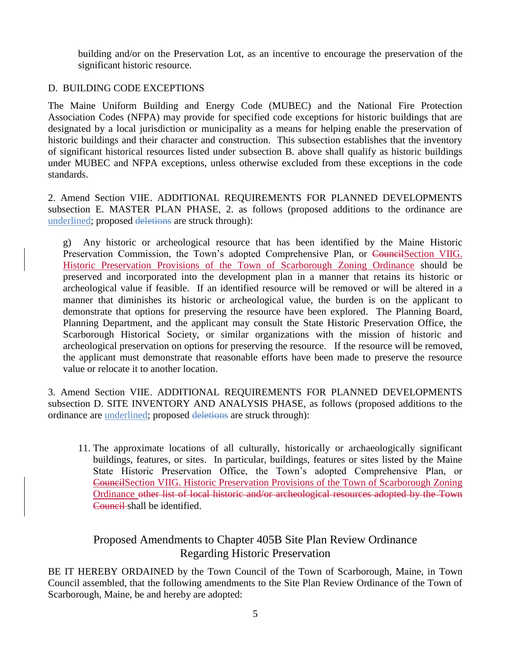building and/or on the Preservation Lot, as an incentive to encourage the preservation of the significant historic resource.

### D. BUILDING CODE EXCEPTIONS

The Maine Uniform Building and Energy Code (MUBEC) and the National Fire Protection Association Codes (NFPA) may provide for specified code exceptions for historic buildings that are designated by a local jurisdiction or municipality as a means for helping enable the preservation of historic buildings and their character and construction. This subsection establishes that the inventory of significant historical resources listed under subsection B. above shall qualify as historic buildings under MUBEC and NFPA exceptions, unless otherwise excluded from these exceptions in the code standards.

2. Amend Section VIIE. ADDITIONAL REQUIREMENTS FOR PLANNED DEVELOPMENTS subsection E. MASTER PLAN PHASE, 2. as follows (proposed additions to the ordinance are underlined; proposed deletions are struck through):

g) Any historic or archeological resource that has been identified by the Maine Historic Preservation Commission, the Town's adopted Comprehensive Plan, or CouncilSection VIIG. Historic Preservation Provisions of the Town of Scarborough Zoning Ordinance should be preserved and incorporated into the development plan in a manner that retains its historic or archeological value if feasible. If an identified resource will be removed or will be altered in a manner that diminishes its historic or archeological value, the burden is on the applicant to demonstrate that options for preserving the resource have been explored. The Planning Board, Planning Department, and the applicant may consult the State Historic Preservation Office, the Scarborough Historical Society, or similar organizations with the mission of historic and archeological preservation on options for preserving the resource. If the resource will be removed, the applicant must demonstrate that reasonable efforts have been made to preserve the resource value or relocate it to another location.

3. Amend Section VIIE. ADDITIONAL REQUIREMENTS FOR PLANNED DEVELOPMENTS subsection D. SITE INVENTORY AND ANALYSIS PHASE, as follows (proposed additions to the ordinance are underlined; proposed deletions are struck through):

11. The approximate locations of all culturally, historically or archaeologically significant buildings, features, or sites. In particular, buildings, features or sites listed by the Maine State Historic Preservation Office, the Town's adopted Comprehensive Plan, or CouncilSection VIIG. Historic Preservation Provisions of the Town of Scarborough Zoning Ordinance other list of local historic and/or archeological resources adopted by the Town Council shall be identified.

# Proposed Amendments to Chapter 405B Site Plan Review Ordinance Regarding Historic Preservation

BE IT HEREBY ORDAINED by the Town Council of the Town of Scarborough, Maine, in Town Council assembled, that the following amendments to the Site Plan Review Ordinance of the Town of Scarborough, Maine, be and hereby are adopted: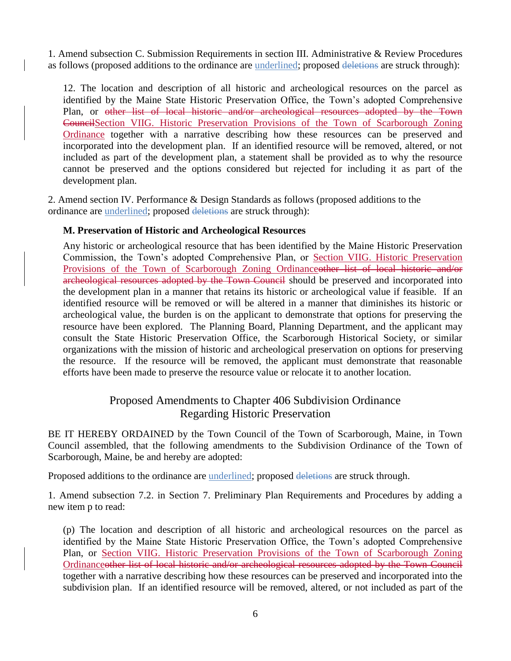1. Amend subsection C. Submission Requirements in section III. Administrative & Review Procedures as follows (proposed additions to the ordinance are underlined; proposed deletions are struck through):

12. The location and description of all historic and archeological resources on the parcel as identified by the Maine State Historic Preservation Office, the Town's adopted Comprehensive Plan, or other list of local historic and/or archeological resources adopted by the Town CouncilSection VIIG. Historic Preservation Provisions of the Town of Scarborough Zoning Ordinance together with a narrative describing how these resources can be preserved and incorporated into the development plan. If an identified resource will be removed, altered, or not included as part of the development plan, a statement shall be provided as to why the resource cannot be preserved and the options considered but rejected for including it as part of the development plan.

2. Amend section IV. Performance & Design Standards as follows (proposed additions to the ordinance are underlined; proposed deletions are struck through):

#### **M. Preservation of Historic and Archeological Resources**

Any historic or archeological resource that has been identified by the Maine Historic Preservation Commission, the Town's adopted Comprehensive Plan, or Section VIIG. Historic Preservation Provisions of the Town of Scarborough Zoning Ordinanceother list of local historic and/or archeological resources adopted by the Town Council should be preserved and incorporated into the development plan in a manner that retains its historic or archeological value if feasible. If an identified resource will be removed or will be altered in a manner that diminishes its historic or archeological value, the burden is on the applicant to demonstrate that options for preserving the resource have been explored. The Planning Board, Planning Department, and the applicant may consult the State Historic Preservation Office, the Scarborough Historical Society, or similar organizations with the mission of historic and archeological preservation on options for preserving the resource. If the resource will be removed, the applicant must demonstrate that reasonable efforts have been made to preserve the resource value or relocate it to another location.

## Proposed Amendments to Chapter 406 Subdivision Ordinance Regarding Historic Preservation

BE IT HEREBY ORDAINED by the Town Council of the Town of Scarborough, Maine, in Town Council assembled, that the following amendments to the Subdivision Ordinance of the Town of Scarborough, Maine, be and hereby are adopted:

Proposed additions to the ordinance are <u>underlined</u>; proposed deletions are struck through.

1. Amend subsection 7.2. in Section 7. Preliminary Plan Requirements and Procedures by adding a new item p to read:

(p) The location and description of all historic and archeological resources on the parcel as identified by the Maine State Historic Preservation Office, the Town's adopted Comprehensive Plan, or Section VIIG. Historic Preservation Provisions of the Town of Scarborough Zoning Ordinanceother list of local historic and/or archeological resources adopted by the Town Council together with a narrative describing how these resources can be preserved and incorporated into the subdivision plan. If an identified resource will be removed, altered, or not included as part of the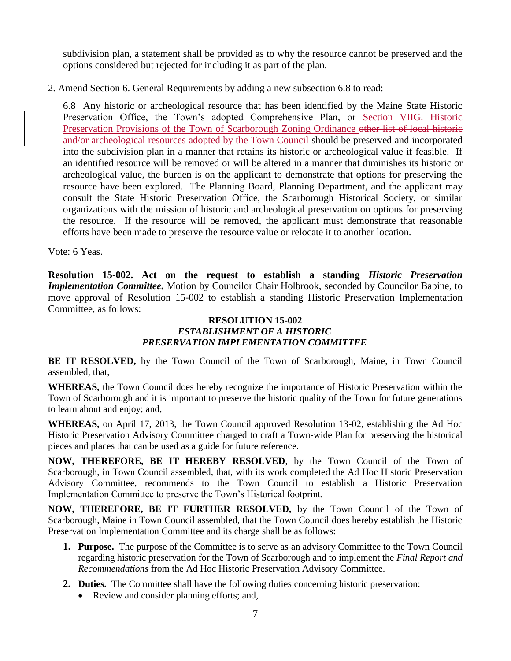subdivision plan, a statement shall be provided as to why the resource cannot be preserved and the options considered but rejected for including it as part of the plan.

2. Amend Section 6. General Requirements by adding a new subsection 6.8 to read:

6.8 Any historic or archeological resource that has been identified by the Maine State Historic Preservation Office, the Town's adopted Comprehensive Plan, or Section VIIG. Historic Preservation Provisions of the Town of Scarborough Zoning Ordinance other list of local historic and/or archeological resources adopted by the Town Council should be preserved and incorporated into the subdivision plan in a manner that retains its historic or archeological value if feasible. If an identified resource will be removed or will be altered in a manner that diminishes its historic or archeological value, the burden is on the applicant to demonstrate that options for preserving the resource have been explored. The Planning Board, Planning Department, and the applicant may consult the State Historic Preservation Office, the Scarborough Historical Society, or similar organizations with the mission of historic and archeological preservation on options for preserving the resource. If the resource will be removed, the applicant must demonstrate that reasonable efforts have been made to preserve the resource value or relocate it to another location.

Vote: 6 Yeas.

**Resolution 15-002. Act on the request to establish a standing** *Historic Preservation Implementation Committee***.** Motion by Councilor Chair Holbrook, seconded by Councilor Babine, to move approval of Resolution 15-002 to establish a standing Historic Preservation Implementation Committee, as follows:

#### **RESOLUTION 15-002** *ESTABLISHMENT OF A HISTORIC PRESERVATION IMPLEMENTATION COMMITTEE*

**BE IT RESOLVED,** by the Town Council of the Town of Scarborough, Maine, in Town Council assembled, that,

**WHEREAS,** the Town Council does hereby recognize the importance of Historic Preservation within the Town of Scarborough and it is important to preserve the historic quality of the Town for future generations to learn about and enjoy; and,

**WHEREAS,** on April 17, 2013, the Town Council approved Resolution 13-02, establishing the Ad Hoc Historic Preservation Advisory Committee charged to craft a Town-wide Plan for preserving the historical pieces and places that can be used as a guide for future reference.

**NOW, THEREFORE, BE IT HEREBY RESOLVED**, by the Town Council of the Town of Scarborough, in Town Council assembled, that, with its work completed the Ad Hoc Historic Preservation Advisory Committee, recommends to the Town Council to establish a Historic Preservation Implementation Committee to preserve the Town's Historical footprint.

**NOW, THEREFORE, BE IT FURTHER RESOLVED,** by the Town Council of the Town of Scarborough, Maine in Town Council assembled, that the Town Council does hereby establish the Historic Preservation Implementation Committee and its charge shall be as follows:

- **1. Purpose.** The purpose of the Committee is to serve as an advisory Committee to the Town Council regarding historic preservation for the Town of Scarborough and to implement the *Final Report and Recommendations* from the Ad Hoc Historic Preservation Advisory Committee.
- **2. Duties.** The Committee shall have the following duties concerning historic preservation:
	- Review and consider planning efforts; and,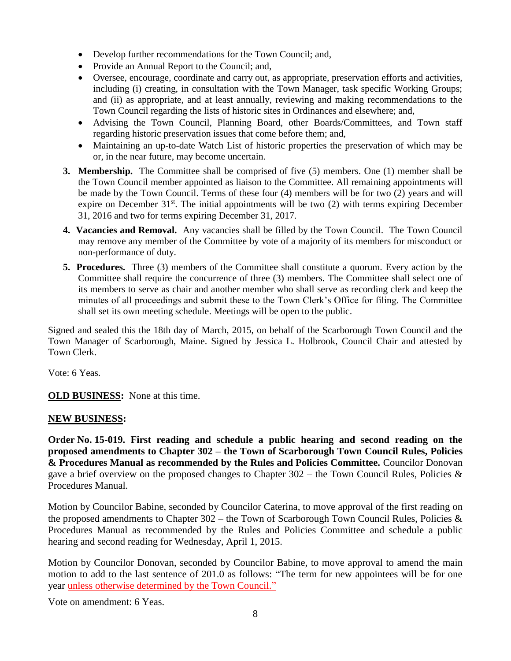- Develop further recommendations for the Town Council; and,
- Provide an Annual Report to the Council; and,
- Oversee, encourage, coordinate and carry out, as appropriate, preservation efforts and activities, including (i) creating, in consultation with the Town Manager, task specific Working Groups; and (ii) as appropriate, and at least annually, reviewing and making recommendations to the Town Council regarding the lists of historic sites in Ordinances and elsewhere; and,
- Advising the Town Council, Planning Board, other Boards/Committees, and Town staff regarding historic preservation issues that come before them; and,
- Maintaining an up-to-date Watch List of historic properties the preservation of which may be or, in the near future, may become uncertain.
- **3. Membership.** The Committee shall be comprised of five (5) members. One (1) member shall be the Town Council member appointed as liaison to the Committee. All remaining appointments will be made by the Town Council. Terms of these four (4) members will be for two (2) years and will expire on December  $31^{st}$ . The initial appointments will be two (2) with terms expiring December 31, 2016 and two for terms expiring December 31, 2017.
- **4. Vacancies and Removal.** Any vacancies shall be filled by the Town Council. The Town Council may remove any member of the Committee by vote of a majority of its members for misconduct or non-performance of duty.
- **5. Procedures.** Three (3) members of the Committee shall constitute a quorum. Every action by the Committee shall require the concurrence of three (3) members. The Committee shall select one of its members to serve as chair and another member who shall serve as recording clerk and keep the minutes of all proceedings and submit these to the Town Clerk's Office for filing. The Committee shall set its own meeting schedule. Meetings will be open to the public.

Signed and sealed this the 18th day of March, 2015, on behalf of the Scarborough Town Council and the Town Manager of Scarborough, Maine. Signed by Jessica L. Holbrook, Council Chair and attested by Town Clerk.

Vote: 6 Yeas.

**OLD BUSINESS:** None at this time.

#### **NEW BUSINESS:**

**Order No. 15-019. First reading and schedule a public hearing and second reading on the proposed amendments to Chapter 302 – the Town of Scarborough Town Council Rules, Policies & Procedures Manual as recommended by the Rules and Policies Committee.** Councilor Donovan gave a brief overview on the proposed changes to Chapter  $302 -$  the Town Council Rules, Policies & Procedures Manual.

Motion by Councilor Babine, seconded by Councilor Caterina, to move approval of the first reading on the proposed amendments to Chapter 302 – the Town of Scarborough Town Council Rules, Policies & Procedures Manual as recommended by the Rules and Policies Committee and schedule a public hearing and second reading for Wednesday, April 1, 2015.

Motion by Councilor Donovan, seconded by Councilor Babine, to move approval to amend the main motion to add to the last sentence of 201.0 as follows: "The term for new appointees will be for one year unless otherwise determined by the Town Council."

Vote on amendment: 6 Yeas.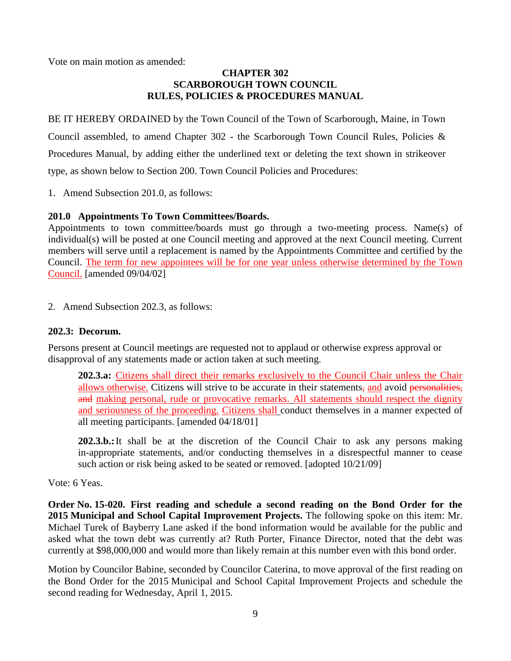Vote on main motion as amended:

### **CHAPTER 302 SCARBOROUGH TOWN COUNCIL RULES, POLICIES & PROCEDURES MANUAL**

BE IT HEREBY ORDAINED by the Town Council of the Town of Scarborough, Maine, in Town Council assembled, to amend Chapter 302 - the Scarborough Town Council Rules, Policies & Procedures Manual, by adding either the underlined text or deleting the text shown in strikeover type, as shown below to Section 200. Town Council Policies and Procedures:

1. Amend Subsection 201.0, as follows:

## **201.0 Appointments To Town Committees/Boards.**

Appointments to town committee/boards must go through a two-meeting process. Name(s) of individual(s) will be posted at one Council meeting and approved at the next Council meeting. Current members will serve until a replacement is named by the Appointments Committee and certified by the Council. The term for new appointees will be for one year unless otherwise determined by the Town Council. [amended 09/04/02]

2. Amend Subsection 202.3, as follows:

### **202.3: Decorum.**

Persons present at Council meetings are requested not to applaud or otherwise express approval or disapproval of any statements made or action taken at such meeting.

**202.3.a:** Citizens shall direct their remarks exclusively to the Council Chair unless the Chair allows otherwise. Citizens will strive to be accurate in their statements, and avoid personalities, and making personal, rude or provocative remarks. All statements should respect the dignity and seriousness of the proceeding. Citizens shall conduct themselves in a manner expected of all meeting participants. [amended 04/18/01]

**202.3.b.:**It shall be at the discretion of the Council Chair to ask any persons making in-appropriate statements, and/or conducting themselves in a disrespectful manner to cease such action or risk being asked to be seated or removed. [adopted  $10/21/09$ ]

Vote: 6 Yeas.

**Order No. 15-020. First reading and schedule a second reading on the Bond Order for the 2015 Municipal and School Capital Improvement Projects.** The following spoke on this item: Mr. Michael Turek of Bayberry Lane asked if the bond information would be available for the public and asked what the town debt was currently at? Ruth Porter, Finance Director, noted that the debt was currently at \$98,000,000 and would more than likely remain at this number even with this bond order.

Motion by Councilor Babine, seconded by Councilor Caterina, to move approval of the first reading on the Bond Order for the 2015 Municipal and School Capital Improvement Projects and schedule the second reading for Wednesday, April 1, 2015.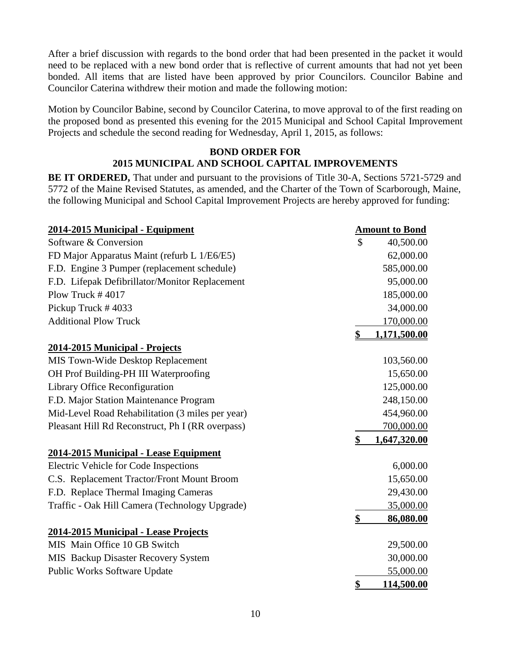After a brief discussion with regards to the bond order that had been presented in the packet it would need to be replaced with a new bond order that is reflective of current amounts that had not yet been bonded. All items that are listed have been approved by prior Councilors. Councilor Babine and Councilor Caterina withdrew their motion and made the following motion:

Motion by Councilor Babine, second by Councilor Caterina, to move approval to of the first reading on the proposed bond as presented this evening for the 2015 Municipal and School Capital Improvement Projects and schedule the second reading for Wednesday, April 1, 2015, as follows:

### **BOND ORDER FOR 2015 MUNICIPAL AND SCHOOL CAPITAL IMPROVEMENTS**

**BE IT ORDERED,** That under and pursuant to the provisions of Title 30-A, Sections 5721-5729 and 5772 of the Maine Revised Statutes, as amended, and the Charter of the Town of Scarborough, Maine, the following Municipal and School Capital Improvement Projects are hereby approved for funding:

| 2014-2015 Municipal - Equipment                  | <b>Amount to Bond</b> |
|--------------------------------------------------|-----------------------|
| Software & Conversion                            | \$<br>40,500.00       |
| FD Major Apparatus Maint (refurb L 1/E6/E5)      | 62,000.00             |
| F.D. Engine 3 Pumper (replacement schedule)      | 585,000.00            |
| F.D. Lifepak Defibrillator/Monitor Replacement   | 95,000.00             |
| Plow Truck #4017                                 | 185,000.00            |
| Pickup Truck #4033                               | 34,000.00             |
| <b>Additional Plow Truck</b>                     | 170,000.00            |
|                                                  | \$<br>1,171,500.00    |
| 2014-2015 Municipal - Projects                   |                       |
| MIS Town-Wide Desktop Replacement                | 103,560.00            |
| OH Prof Building-PH III Waterproofing            | 15,650.00             |
| Library Office Reconfiguration                   | 125,000.00            |
| F.D. Major Station Maintenance Program           | 248,150.00            |
| Mid-Level Road Rehabilitation (3 miles per year) | 454,960.00            |
| Pleasant Hill Rd Reconstruct, Ph I (RR overpass) | 700,000.00            |
|                                                  | \$<br>1,647,320.00    |
| 2014-2015 Municipal - Lease Equipment            |                       |
| Electric Vehicle for Code Inspections            | 6,000.00              |
| C.S. Replacement Tractor/Front Mount Broom       | 15,650.00             |
| F.D. Replace Thermal Imaging Cameras             | 29,430.00             |
| Traffic - Oak Hill Camera (Technology Upgrade)   | 35,000.00             |
|                                                  | \$<br>86,080.00       |
| 2014-2015 Municipal - Lease Projects             |                       |
| MIS Main Office 10 GB Switch                     | 29,500.00             |
| MIS Backup Disaster Recovery System              | 30,000.00             |
| Public Works Software Update                     | 55,000.00             |
|                                                  | \$<br>114,500.00      |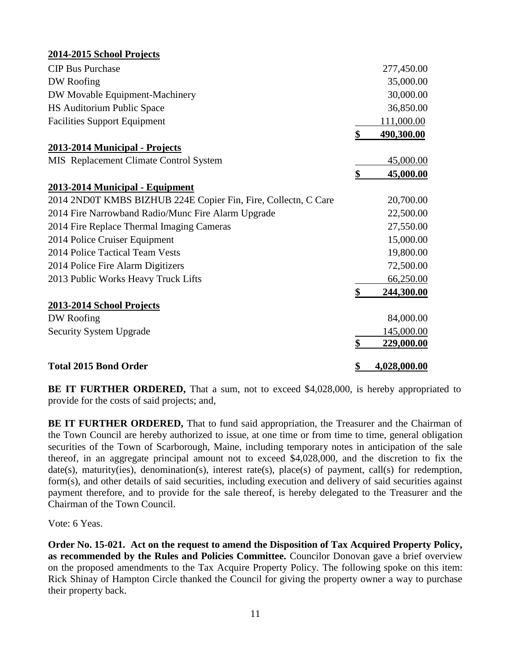| 2014-2015 School Projects                                      |                    |
|----------------------------------------------------------------|--------------------|
| <b>CIP Bus Purchase</b>                                        | 277,450.00         |
| DW Roofing                                                     | 35,000.00          |
| DW Movable Equipment-Machinery                                 | 30,000.00          |
| HS Auditorium Public Space                                     | 36,850.00          |
| <b>Facilities Support Equipment</b>                            | 111,000.00         |
|                                                                | \$<br>490,300.00   |
| 2013-2014 Municipal - Projects                                 |                    |
| MIS Replacement Climate Control System                         | 45,000.00          |
|                                                                | \$<br>45,000.00    |
| 2013-2014 Municipal - Equipment                                |                    |
| 2014 2ND0T KMBS BIZHUB 224E Copier Fin, Fire, Collectn, C Care | 20,700.00          |
| 2014 Fire Narrowband Radio/Munc Fire Alarm Upgrade             | 22,500.00          |
| 2014 Fire Replace Thermal Imaging Cameras                      | 27,550.00          |
| 2014 Police Cruiser Equipment                                  | 15,000.00          |
| 2014 Police Tactical Team Vests                                | 19,800.00          |
| 2014 Police Fire Alarm Digitizers                              | 72,500.00          |
| 2013 Public Works Heavy Truck Lifts                            | 66,250.00          |
|                                                                | \$<br>244,300.00   |
| 2013-2014 School Projects                                      |                    |
| DW Roofing                                                     | 84,000.00          |
| <b>Security System Upgrade</b>                                 | 145,000.00         |
|                                                                | \$<br>229,000.00   |
| <b>Total 2015 Bond Order</b>                                   | \$<br>4,028,000.00 |

**BE IT FURTHER ORDERED,** That a sum, not to exceed \$4,028,000, is hereby appropriated to provide for the costs of said projects; and,

**BE IT FURTHER ORDERED,** That to fund said appropriation, the Treasurer and the Chairman of the Town Council are hereby authorized to issue, at one time or from time to time, general obligation securities of the Town of Scarborough, Maine, including temporary notes in anticipation of the sale thereof, in an aggregate principal amount not to exceed \$4,028,000, and the discretion to fix the date(s), maturity(ies), denomination(s), interest rate(s), place(s) of payment, call(s) for redemption, form(s), and other details of said securities, including execution and delivery of said securities against payment therefore, and to provide for the sale thereof, is hereby delegated to the Treasurer and the Chairman of the Town Council.

Vote: 6 Yeas.

**Order No. 15-021. Act on the request to amend the Disposition of Tax Acquired Property Policy, as recommended by the Rules and Policies Committee.** Councilor Donovan gave a brief overview on the proposed amendments to the Tax Acquire Property Policy. The following spoke on this item: Rick Shinay of Hampton Circle thanked the Council for giving the property owner a way to purchase their property back.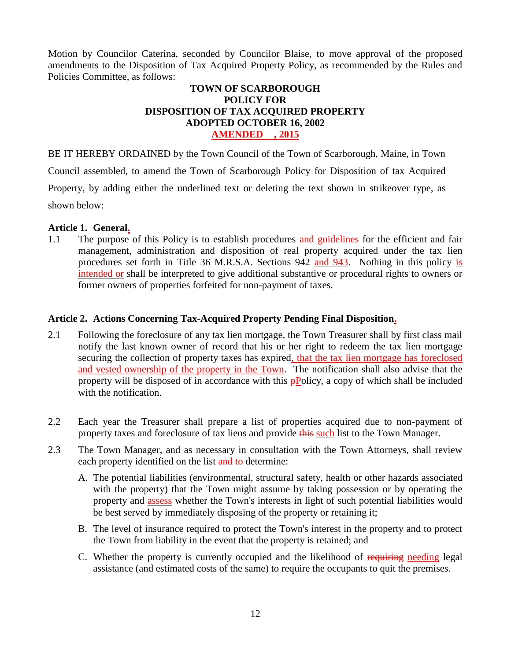Motion by Councilor Caterina, seconded by Councilor Blaise, to move approval of the proposed amendments to the Disposition of Tax Acquired Property Policy, as recommended by the Rules and Policies Committee, as follows:

### **TOWN OF SCARBOROUGH POLICY FOR DISPOSITION OF TAX ACQUIRED PROPERTY ADOPTED OCTOBER 16, 2002 AMENDED , 2015**

BE IT HEREBY ORDAINED by the Town Council of the Town of Scarborough, Maine, in Town

Council assembled, to amend the Town of Scarborough Policy for Disposition of tax Acquired

Property, by adding either the underlined text or deleting the text shown in strikeover type, as

shown below:

### **Article 1. General.**

1.1 The purpose of this Policy is to establish procedures and guidelines for the efficient and fair management, administration and disposition of real property acquired under the tax lien procedures set forth in Title 36 M.R.S.A. Sections 942 and 943. Nothing in this policy is intended or shall be interpreted to give additional substantive or procedural rights to owners or former owners of properties forfeited for non-payment of taxes.

## **Article 2. Actions Concerning Tax-Acquired Property Pending Final Disposition.**

- 2.1 Following the foreclosure of any tax lien mortgage, the Town Treasurer shall by first class mail notify the last known owner of record that his or her right to redeem the tax lien mortgage securing the collection of property taxes has expired, that the tax lien mortgage has foreclosed and vested ownership of the property in the Town. The notification shall also advise that the property will be disposed of in accordance with this  $\frac{1}{2}P^{O}$  policy, a copy of which shall be included with the notification.
- 2.2 Each year the Treasurer shall prepare a list of properties acquired due to non-payment of property taxes and foreclosure of tax liens and provide this such list to the Town Manager.
- 2.3 The Town Manager, and as necessary in consultation with the Town Attorneys, shall review each property identified on the list and to determine:
	- A. The potential liabilities (environmental, structural safety, health or other hazards associated with the property) that the Town might assume by taking possession or by operating the property and assess whether the Town's interests in light of such potential liabilities would be best served by immediately disposing of the property or retaining it;
	- B. The level of insurance required to protect the Town's interest in the property and to protect the Town from liability in the event that the property is retained; and
	- C. Whether the property is currently occupied and the likelihood of requiring needing legal assistance (and estimated costs of the same) to require the occupants to quit the premises.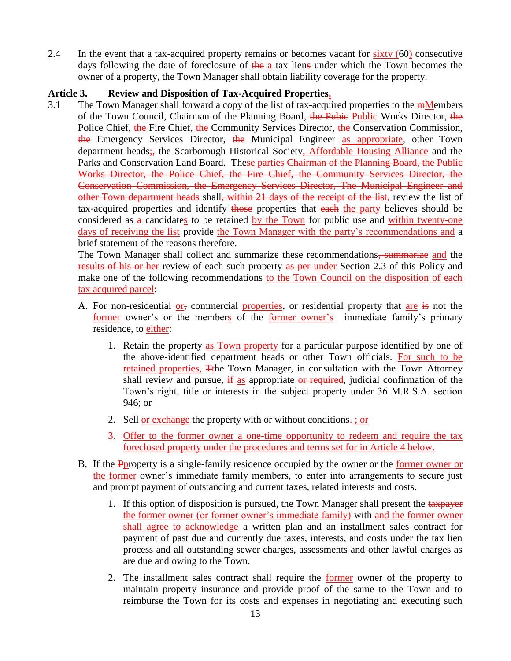2.4 In the event that a tax-acquired property remains or becomes vacant for sixty (60) consecutive days following the date of foreclosure of the a tax liens under which the Town becomes the owner of a property, the Town Manager shall obtain liability coverage for the property.

## **Article 3. Review and Disposition of Tax-Acquired Properties.**

3.1 The Town Manager shall forward a copy of the list of tax-acquired properties to the  $m$ Members of the Town Council, Chairman of the Planning Board, the Pubie Public Works Director, the Police Chief, the Fire Chief, the Community Services Director, the Conservation Commission, the Emergency Services Director, the Municipal Engineer as appropriate, other Town department heads; the Scarborough Historical Society, Affordable Housing Alliance and the Parks and Conservation Land Board. These parties Chairman of the Planning Board, the Public Works Director, the Police Chief, the Fire Chief, the Community Services Director, the Conservation Commission, the Emergency Services Director, The Municipal Engineer and other Town department heads shall, within 21 days of the receipt of the list, review the list of tax-acquired properties and identify those properties that each the party believes should be considered as  $a$  candidates to be retained by the Town for public use and within twenty-one days of receiving the list provide the Town Manager with the party's recommendations and a brief statement of the reasons therefore.

The Town Manager shall collect and summarize these recommendations<del>, summarize</del> and the results of his or her review of each such property as per under Section 2.3 of this Policy and make one of the following recommendations to the Town Council on the disposition of each tax acquired parcel:

- A. For non-residential or, commercial properties, or residential property that are is not the former owner's or the members of the former owner's immediate family's primary residence, to either:
	- 1. Retain the property as Town property for a particular purpose identified by one of the above-identified department heads or other Town officials. For such to be retained properties, Tthe Town Manager, in consultation with the Town Attorney shall review and pursue,  $\frac{1}{x}$  as appropriate or required, judicial confirmation of the Town's right, title or interests in the subject property under 36 M.R.S.A. section 946; or
	- 2. Sell or exchange the property with or without conditions. ; or
	- 3. Offer to the former owner a one-time opportunity to redeem and require the tax foreclosed property under the procedures and terms set for in Article 4 below.
- B. If the Pproperty is a single-family residence occupied by the owner or the former owner or the former owner's immediate family members, to enter into arrangements to secure just and prompt payment of outstanding and current taxes, related interests and costs.
	- 1. If this option of disposition is pursued, the Town Manager shall present the tax payer the former owner (or former owner's immediate family) with and the former owner shall agree to acknowledge a written plan and an installment sales contract for payment of past due and currently due taxes, interests, and costs under the tax lien process and all outstanding sewer charges, assessments and other lawful charges as are due and owing to the Town.
	- 2. The installment sales contract shall require the former owner of the property to maintain property insurance and provide proof of the same to the Town and to reimburse the Town for its costs and expenses in negotiating and executing such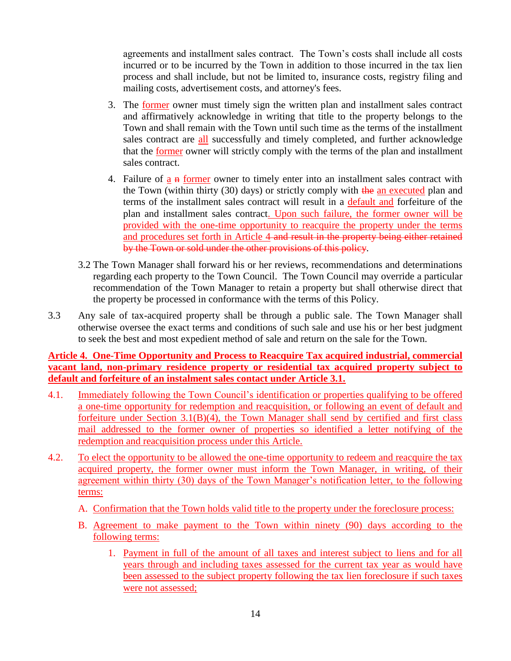agreements and installment sales contract. The Town's costs shall include all costs incurred or to be incurred by the Town in addition to those incurred in the tax lien process and shall include, but not be limited to, insurance costs, registry filing and mailing costs, advertisement costs, and attorney's fees.

- 3. The former owner must timely sign the written plan and installment sales contract and affirmatively acknowledge in writing that title to the property belongs to the Town and shall remain with the Town until such time as the terms of the installment sales contract are all successfully and timely completed, and further acknowledge that the former owner will strictly comply with the terms of the plan and installment sales contract.
- 4. Failure of  $a \cdot n$  former owner to timely enter into an installment sales contract with the Town (within thirty (30) days) or strictly comply with the an executed plan and terms of the installment sales contract will result in a default and forfeiture of the plan and installment sales contract. Upon such failure, the former owner will be provided with the one-time opportunity to reacquire the property under the terms and procedures set forth in Article 4 and result in the property being either retained by the Town or sold under the other provisions of this policy.
- 3.2 The Town Manager shall forward his or her reviews, recommendations and determinations regarding each property to the Town Council. The Town Council may override a particular recommendation of the Town Manager to retain a property but shall otherwise direct that the property be processed in conformance with the terms of this Policy.
- 3.3 Any sale of tax-acquired property shall be through a public sale. The Town Manager shall otherwise oversee the exact terms and conditions of such sale and use his or her best judgment to seek the best and most expedient method of sale and return on the sale for the Town.

**Article 4. One-Time Opportunity and Process to Reacquire Tax acquired industrial, commercial vacant land, non-primary residence property or residential tax acquired property subject to default and forfeiture of an instalment sales contact under Article 3.1.**

- 4.1. Immediately following the Town Council's identification or properties qualifying to be offered a one-time opportunity for redemption and reacquisition, or following an event of default and forfeiture under Section 3.1(B)(4), the Town Manager shall send by certified and first class mail addressed to the former owner of properties so identified a letter notifying of the redemption and reacquisition process under this Article.
- 4.2. To elect the opportunity to be allowed the one-time opportunity to redeem and reacquire the tax acquired property, the former owner must inform the Town Manager, in writing, of their agreement within thirty (30) days of the Town Manager's notification letter, to the following terms:
	- A. Confirmation that the Town holds valid title to the property under the foreclosure process:
	- B. Agreement to make payment to the Town within ninety (90) days according to the following terms:
		- 1. Payment in full of the amount of all taxes and interest subject to liens and for all years through and including taxes assessed for the current tax year as would have been assessed to the subject property following the tax lien foreclosure if such taxes were not assessed;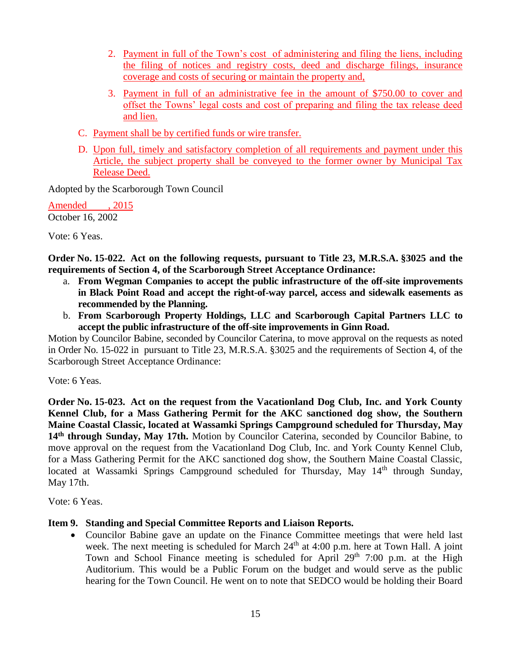- 2. Payment in full of the Town's cost of administering and filing the liens, including the filing of notices and registry costs, deed and discharge filings, insurance coverage and costs of securing or maintain the property and,
- 3. Payment in full of an administrative fee in the amount of \$750.00 to cover and offset the Towns' legal costs and cost of preparing and filing the tax release deed and lien.
- C. Payment shall be by certified funds or wire transfer.
- D. Upon full, timely and satisfactory completion of all requirements and payment under this Article, the subject property shall be conveyed to the former owner by Municipal Tax Release Deed.

Adopted by the Scarborough Town Council

Amended , 2015 October 16, 2002

Vote: 6 Yeas.

**Order No. 15-022. Act on the following requests, pursuant to Title 23, M.R.S.A. §3025 and the requirements of Section 4, of the Scarborough Street Acceptance Ordinance:**

- a. **From Wegman Companies to accept the public infrastructure of the off-site improvements in Black Point Road and accept the right-of-way parcel, access and sidewalk easements as recommended by the Planning.**
- b. **From Scarborough Property Holdings, LLC and Scarborough Capital Partners LLC to accept the public infrastructure of the off-site improvements in Ginn Road.**

Motion by Councilor Babine, seconded by Councilor Caterina, to move approval on the requests as noted in Order No. 15-022 in pursuant to Title 23, M.R.S.A. §3025 and the requirements of Section 4, of the Scarborough Street Acceptance Ordinance:

Vote: 6 Yeas.

**Order No. 15-023. Act on the request from the Vacationland Dog Club, Inc. and York County Kennel Club, for a Mass Gathering Permit for the AKC sanctioned dog show, the Southern Maine Coastal Classic, located at Wassamki Springs Campground scheduled for Thursday, May 14th through Sunday, May 17th.** Motion by Councilor Caterina, seconded by Councilor Babine, to move approval on the request from the Vacationland Dog Club, Inc. and York County Kennel Club, for a Mass Gathering Permit for the AKC sanctioned dog show, the Southern Maine Coastal Classic, located at Wassamki Springs Campground scheduled for Thursday, May 14<sup>th</sup> through Sunday, May 17th.

Vote: 6 Yeas.

## **Item 9. Standing and Special Committee Reports and Liaison Reports.**

 Councilor Babine gave an update on the Finance Committee meetings that were held last week. The next meeting is scheduled for March 24<sup>th</sup> at 4:00 p.m. here at Town Hall. A joint Town and School Finance meeting is scheduled for April  $29<sup>th</sup>$  7:00 p.m. at the High Auditorium. This would be a Public Forum on the budget and would serve as the public hearing for the Town Council. He went on to note that SEDCO would be holding their Board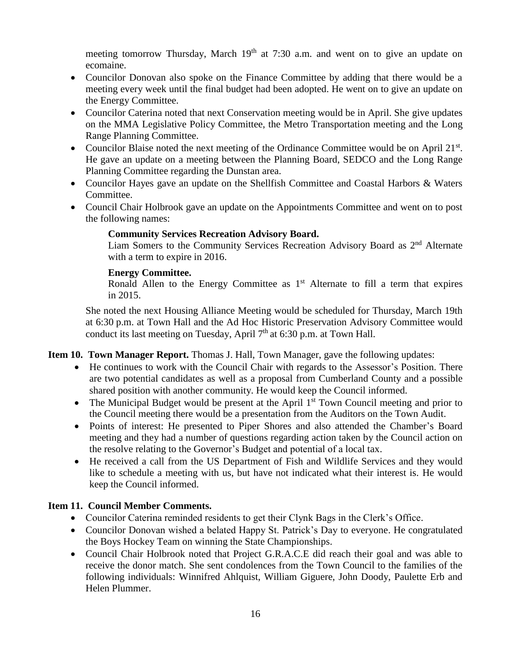meeting tomorrow Thursday, March 19<sup>th</sup> at 7:30 a.m. and went on to give an update on ecomaine.

- Councilor Donovan also spoke on the Finance Committee by adding that there would be a meeting every week until the final budget had been adopted. He went on to give an update on the Energy Committee.
- Councilor Caterina noted that next Conservation meeting would be in April. She give updates on the MMA Legislative Policy Committee, the Metro Transportation meeting and the Long Range Planning Committee.
- Councilor Blaise noted the next meeting of the Ordinance Committee would be on April 21<sup>st</sup>. He gave an update on a meeting between the Planning Board, SEDCO and the Long Range Planning Committee regarding the Dunstan area.
- Councilor Hayes gave an update on the Shellfish Committee and Coastal Harbors & Waters Committee.
- Council Chair Holbrook gave an update on the Appointments Committee and went on to post the following names:

## **Community Services Recreation Advisory Board.**

Liam Somers to the Community Services Recreation Advisory Board as 2<sup>nd</sup> Alternate with a term to expire in 2016.

### **Energy Committee.**

Ronald Allen to the Energy Committee as  $1<sup>st</sup>$  Alternate to fill a term that expires in 2015.

She noted the next Housing Alliance Meeting would be scheduled for Thursday, March 19th at 6:30 p.m. at Town Hall and the Ad Hoc Historic Preservation Advisory Committee would conduct its last meeting on Tuesday, April  $7<sup>th</sup>$  at 6:30 p.m. at Town Hall.

**Item 10. Town Manager Report.** Thomas J. Hall, Town Manager, gave the following updates:

- He continues to work with the Council Chair with regards to the Assessor's Position. There are two potential candidates as well as a proposal from Cumberland County and a possible shared position with another community. He would keep the Council informed.
- The Municipal Budget would be present at the April  $1<sup>st</sup>$  Town Council meeting and prior to the Council meeting there would be a presentation from the Auditors on the Town Audit.
- Points of interest: He presented to Piper Shores and also attended the Chamber's Board meeting and they had a number of questions regarding action taken by the Council action on the resolve relating to the Governor's Budget and potential of a local tax.
- He received a call from the US Department of Fish and Wildlife Services and they would like to schedule a meeting with us, but have not indicated what their interest is. He would keep the Council informed.

## **Item 11. Council Member Comments.**

- Councilor Caterina reminded residents to get their Clynk Bags in the Clerk's Office.
- Councilor Donovan wished a belated Happy St. Patrick's Day to everyone. He congratulated the Boys Hockey Team on winning the State Championships.
- Council Chair Holbrook noted that Project G.R.A.C.E did reach their goal and was able to receive the donor match. She sent condolences from the Town Council to the families of the following individuals: Winnifred Ahlquist, William Giguere, John Doody, Paulette Erb and Helen Plummer.